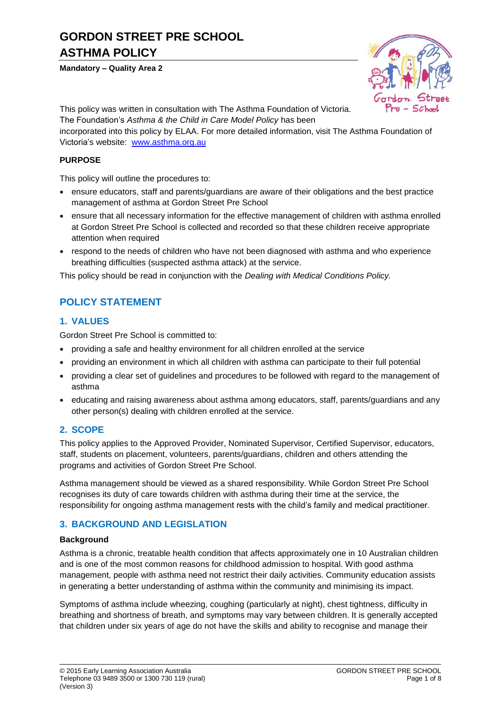# **GORDON STREET PRE SCHOOL ASTHMA POLICY**

#### **Mandatory – Quality Area 2**



This policy was written in consultation with The Asthma Foundation of Victoria.

The Foundation's *Asthma & the Child in Care Model Policy* has been

incorporated into this policy by ELAA. For more detailed information, visit The Asthma Foundation of Victoria's website: [www.asthma.org.au](http://www.asthma.org.au/)

### **PURPOSE**

This policy will outline the procedures to:

- ensure educators, staff and parents/guardians are aware of their obligations and the best practice management of asthma at Gordon Street Pre School
- ensure that all necessary information for the effective management of children with asthma enrolled at Gordon Street Pre School is collected and recorded so that these children receive appropriate attention when required
- respond to the needs of children who have not been diagnosed with asthma and who experience breathing difficulties (suspected asthma attack) at the service.

This policy should be read in conjunction with the *Dealing with Medical Conditions Policy.*

# **POLICY STATEMENT**

## **1. VALUES**

Gordon Street Pre School is committed to:

- providing a safe and healthy environment for all children enrolled at the service
- providing an environment in which all children with asthma can participate to their full potential
- providing a clear set of guidelines and procedures to be followed with regard to the management of asthma
- educating and raising awareness about asthma among educators, staff, parents/guardians and any other person(s) dealing with children enrolled at the service.

# **2. SCOPE**

This policy applies to the Approved Provider, Nominated Supervisor, Certified Supervisor, educators, staff, students on placement, volunteers, parents/guardians, children and others attending the programs and activities of Gordon Street Pre School.

Asthma management should be viewed as a shared responsibility. While Gordon Street Pre School recognises its duty of care towards children with asthma during their time at the service, the responsibility for ongoing asthma management rests with the child's family and medical practitioner.

# **3. BACKGROUND AND LEGISLATION**

### **Background**

Asthma is a chronic, treatable health condition that affects approximately one in 10 Australian children and is one of the most common reasons for childhood admission to hospital. With good asthma management, people with asthma need not restrict their daily activities. Community education assists in generating a better understanding of asthma within the community and minimising its impact.

Symptoms of asthma include wheezing, coughing (particularly at night), chest tightness, difficulty in breathing and shortness of breath, and symptoms may vary between children. It is generally accepted that children under six years of age do not have the skills and ability to recognise and manage their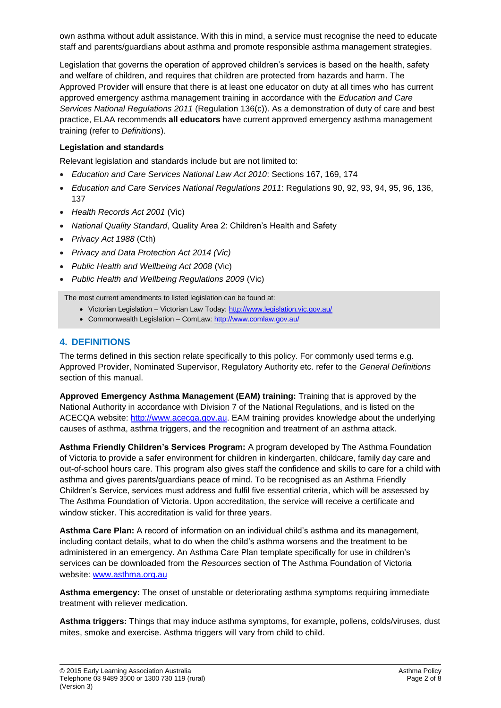own asthma without adult assistance. With this in mind, a service must recognise the need to educate staff and parents/guardians about asthma and promote responsible asthma management strategies.

Legislation that governs the operation of approved children's services is based on the health, safety and welfare of children, and requires that children are protected from hazards and harm. The Approved Provider will ensure that there is at least one educator on duty at all times who has current approved emergency asthma management training in accordance with the *Education and Care Services National Regulations 2011* (Regulation 136(c)). As a demonstration of duty of care and best practice, ELAA recommends **all educators** have current approved emergency asthma management training (refer to *Definitions*).

### **Legislation and standards**

Relevant legislation and standards include but are not limited to:

- *Education and Care Services National Law Act 2010*: Sections 167, 169, 174
- *Education and Care Services National Regulations 2011*: Regulations 90, 92, 93, 94, 95, 96, 136, 137
- *Health Records Act 2001* (Vic)
- *National Quality Standard*, Quality Area 2: Children's Health and Safety
- *Privacy Act 1988* (Cth)
- *Privacy and Data Protection Act 2014 (Vic)*
- *Public Health and Wellbeing Act 2008* (Vic)
- *Public Health and Wellbeing Regulations 2009* (Vic)

The most current amendments to listed legislation can be found at:

- Victorian Legislation Victorian Law Today:<http://www.legislation.vic.gov.au/>
- Commonwealth Legislation ComLaw[: http://www.comlaw.gov.au/](http://www.comlaw.gov.au/)

## **4. DEFINITIONS**

The terms defined in this section relate specifically to this policy. For commonly used terms e.g. Approved Provider, Nominated Supervisor, Regulatory Authority etc. refer to the *General Definitions* section of this manual.

**Approved Emergency Asthma Management (EAM) training:** Training that is approved by the National Authority in accordance with Division 7 of the National Regulations, and is listed on the ACECQA website: [http://www.acecqa.gov.au.](http://www.acecqa.gov.au/) EAM training provides knowledge about the underlying causes of asthma, asthma triggers, and the recognition and treatment of an asthma attack.

**Asthma Friendly Children's Services Program:** A program developed by The Asthma Foundation of Victoria to provide a safer environment for children in kindergarten, childcare, family day care and out-of-school hours care. This program also gives staff the confidence and skills to care for a child with asthma and gives parents/guardians peace of mind. To be recognised as an Asthma Friendly Children's Service, services must address and fulfil five essential criteria, which will be assessed by The Asthma Foundation of Victoria. Upon accreditation, the service will receive a certificate and window sticker. This accreditation is valid for three years.

**Asthma Care Plan:** A record of information on an individual child's asthma and its management, including contact details, what to do when the child's asthma worsens and the treatment to be administered in an emergency. An Asthma Care Plan template specifically for use in children's services can be downloaded from the *Resources* section of The Asthma Foundation of Victoria website: [www.asthma.org.au](http://www.asthma.org.au/)

**Asthma emergency:** The onset of unstable or deteriorating asthma symptoms requiring immediate treatment with reliever medication.

**Asthma triggers:** Things that may induce asthma symptoms, for example, pollens, colds/viruses, dust mites, smoke and exercise. Asthma triggers will vary from child to child.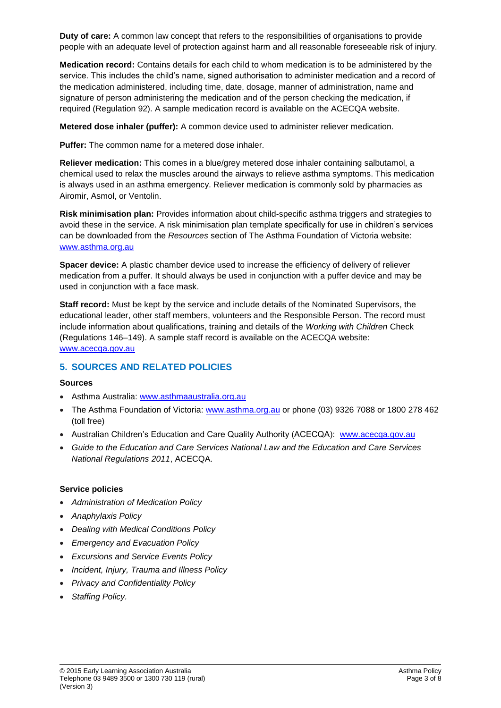**Duty of care:** A common law concept that refers to the responsibilities of organisations to provide people with an adequate level of protection against harm and all reasonable foreseeable risk of injury.

**Medication record:** Contains details for each child to whom medication is to be administered by the service. This includes the child's name, signed authorisation to administer medication and a record of the medication administered, including time, date, dosage, manner of administration, name and signature of person administering the medication and of the person checking the medication, if required (Regulation 92). A sample medication record is available on the ACECQA website.

**Metered dose inhaler (puffer):** A common device used to administer reliever medication.

**Puffer:** The common name for a metered dose inhaler.

**Reliever medication:** This comes in a blue/grey metered dose inhaler containing salbutamol, a chemical used to relax the muscles around the airways to relieve asthma symptoms. This medication is always used in an asthma emergency. Reliever medication is commonly sold by pharmacies as Airomir, Asmol, or Ventolin.

**Risk minimisation plan:** Provides information about child-specific asthma triggers and strategies to avoid these in the service. A risk minimisation plan template specifically for use in children's services can be downloaded from the *Resources* section of The Asthma Foundation of Victoria website: [www.asthma.org.au](http://www.asthma.org.au/)

**Spacer device:** A plastic chamber device used to increase the efficiency of delivery of reliever medication from a puffer. It should always be used in conjunction with a puffer device and may be used in conjunction with a face mask.

**Staff record:** Must be kept by the service and include details of the Nominated Supervisors, the educational leader, other staff members, volunteers and the Responsible Person. The record must include information about qualifications, training and details of the *Working with Children* Check (Regulations 146–149). A sample staff record is available on the ACECQA website: [www.acecqa.gov.au](http://www.acecqa.gov.au/)

# **5. SOURCES AND RELATED POLICIES**

#### **Sources**

- Asthma Australia: [www.asthmaaustralia.org.au](http://www.asthmaaustralia.org.au/)
- The Asthma Foundation of Victoria: [www.asthma.org.au](http://www.asthma.org.au/) or phone (03) 9326 7088 or 1800 278 462 (toll free)
- Australian Children's Education and Care Quality Authority (ACECQA): [www.acecqa.gov.au](http://www.acecqa.gov.au/)
- *Guide to the Education and Care Services National Law and the Education and Care Services National Regulations 2011*, ACECQA.

#### **Service policies**

- *Administration of Medication Policy*
- *Anaphylaxis Policy*
- *Dealing with Medical Conditions Policy*
- *Emergency and Evacuation Policy*
- *Excursions and Service Events Policy*
- *Incident, Injury, Trauma and Illness Policy*
- *Privacy and Confidentiality Policy*
- *Staffing Policy.*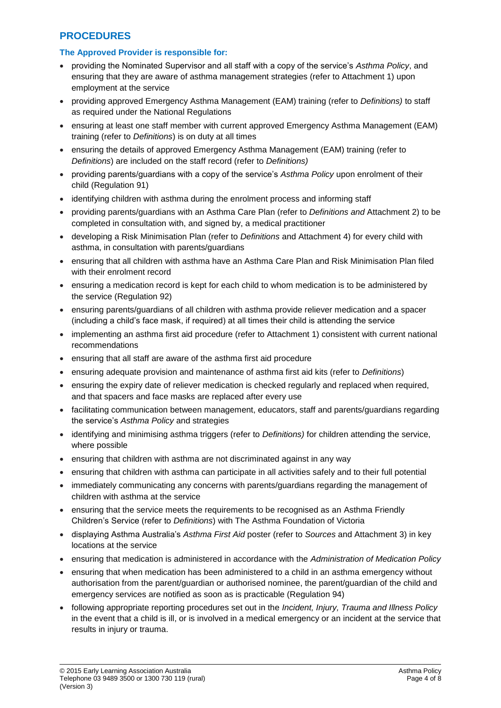# **PROCEDURES**

### **The Approved Provider is responsible for:**

- providing the Nominated Supervisor and all staff with a copy of the service's *Asthma Policy*, and ensuring that they are aware of asthma management strategies (refer to Attachment 1) upon employment at the service
- providing approved Emergency Asthma Management (EAM) training (refer to *Definitions)* to staff as required under the National Regulations
- ensuring at least one staff member with current approved Emergency Asthma Management (EAM) training (refer to *Definitions*) is on duty at all times
- ensuring the details of approved Emergency Asthma Management (EAM) training (refer to *Definitions*) are included on the staff record (refer to *Definitions)*
- providing parents/guardians with a copy of the service's *Asthma Policy* upon enrolment of their child (Regulation 91)
- identifying children with asthma during the enrolment process and informing staff
- providing parents/guardians with an Asthma Care Plan (refer to *Definitions and* Attachment 2) to be completed in consultation with, and signed by, a medical practitioner
- developing a Risk Minimisation Plan (refer to *Definitions* and Attachment 4) for every child with asthma, in consultation with parents/guardians
- ensuring that all children with asthma have an Asthma Care Plan and Risk Minimisation Plan filed with their enrolment record
- ensuring a medication record is kept for each child to whom medication is to be administered by the service (Regulation 92)
- ensuring parents/guardians of all children with asthma provide reliever medication and a spacer (including a child's face mask, if required) at all times their child is attending the service
- implementing an asthma first aid procedure (refer to Attachment 1) consistent with current national recommendations
- ensuring that all staff are aware of the asthma first aid procedure
- ensuring adequate provision and maintenance of asthma first aid kits (refer to *Definitions*)
- ensuring the expiry date of reliever medication is checked regularly and replaced when required, and that spacers and face masks are replaced after every use
- facilitating communication between management, educators, staff and parents/guardians regarding the service's *Asthma Policy* and strategies
- identifying and minimising asthma triggers (refer to *Definitions*) for children attending the service, where possible
- ensuring that children with asthma are not discriminated against in any way
- ensuring that children with asthma can participate in all activities safely and to their full potential
- immediately communicating any concerns with parents/guardians regarding the management of children with asthma at the service
- ensuring that the service meets the requirements to be recognised as an Asthma Friendly Children's Service (refer to *Definitions*) with The Asthma Foundation of Victoria
- displaying Asthma Australia's *Asthma First Aid* poster (refer to *Sources* and Attachment 3) in key locations at the service
- ensuring that medication is administered in accordance with the *Administration of Medication Policy*
- ensuring that when medication has been administered to a child in an asthma emergency without authorisation from the parent/guardian or authorised nominee, the parent/guardian of the child and emergency services are notified as soon as is practicable (Regulation 94)
- following appropriate reporting procedures set out in the *Incident, Injury, Trauma and Illness Policy* in the event that a child is ill, or is involved in a medical emergency or an incident at the service that results in injury or trauma.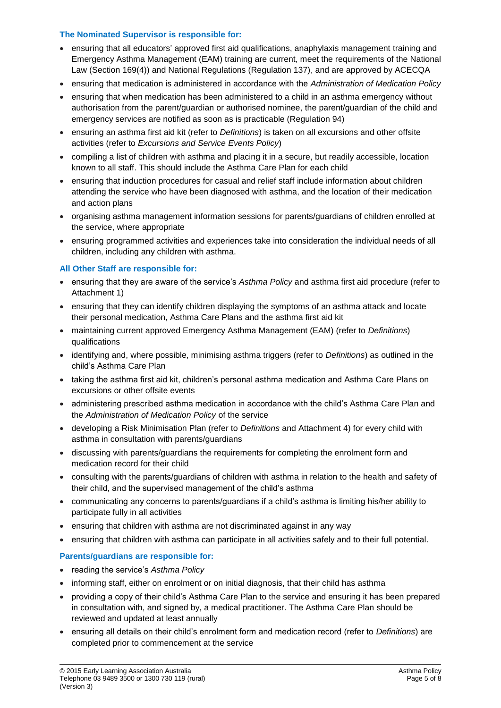### **The Nominated Supervisor is responsible for:**

- ensuring that all educators' approved first aid qualifications, anaphylaxis management training and Emergency Asthma Management (EAM) training are current, meet the requirements of the National Law (Section 169(4)) and National Regulations (Regulation 137), and are approved by ACECQA
- ensuring that medication is administered in accordance with the *Administration of Medication Policy*
- ensuring that when medication has been administered to a child in an asthma emergency without authorisation from the parent/guardian or authorised nominee, the parent/guardian of the child and emergency services are notified as soon as is practicable (Regulation 94)
- ensuring an asthma first aid kit (refer to *Definitions*) is taken on all excursions and other offsite activities (refer to *Excursions and Service Events Policy*)
- compiling a list of children with asthma and placing it in a secure, but readily accessible, location known to all staff. This should include the Asthma Care Plan for each child
- ensuring that induction procedures for casual and relief staff include information about children attending the service who have been diagnosed with asthma, and the location of their medication and action plans
- organising asthma management information sessions for parents/guardians of children enrolled at the service, where appropriate
- ensuring programmed activities and experiences take into consideration the individual needs of all children, including any children with asthma.

### **All Other Staff are responsible for:**

- ensuring that they are aware of the service's *Asthma Policy* and asthma first aid procedure (refer to Attachment 1)
- ensuring that they can identify children displaying the symptoms of an asthma attack and locate their personal medication, Asthma Care Plans and the asthma first aid kit
- maintaining current approved Emergency Asthma Management (EAM) (refer to *Definitions*) qualifications
- identifying and, where possible, minimising asthma triggers (refer to *Definitions*) as outlined in the child's Asthma Care Plan
- taking the asthma first aid kit, children's personal asthma medication and Asthma Care Plans on excursions or other offsite events
- administering prescribed asthma medication in accordance with the child's Asthma Care Plan and the *Administration of Medication Policy* of the service
- developing a Risk Minimisation Plan (refer to *Definitions* and Attachment 4) for every child with asthma in consultation with parents/guardians
- discussing with parents/guardians the requirements for completing the enrolment form and medication record for their child
- consulting with the parents/guardians of children with asthma in relation to the health and safety of their child, and the supervised management of the child's asthma
- communicating any concerns to parents/guardians if a child's asthma is limiting his/her ability to participate fully in all activities
- ensuring that children with asthma are not discriminated against in any way
- ensuring that children with asthma can participate in all activities safely and to their full potential.

#### **Parents/guardians are responsible for:**

- reading the service's *Asthma Policy*
- informing staff, either on enrolment or on initial diagnosis, that their child has asthma
- providing a copy of their child's Asthma Care Plan to the service and ensuring it has been prepared in consultation with, and signed by, a medical practitioner. The Asthma Care Plan should be reviewed and updated at least annually
- ensuring all details on their child's enrolment form and medication record (refer to *Definitions*) are completed prior to commencement at the service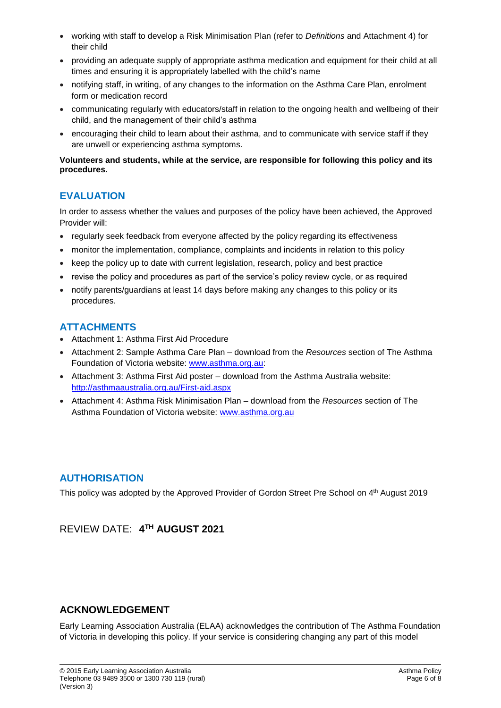- working with staff to develop a Risk Minimisation Plan (refer to *Definitions* and Attachment 4) for their child
- providing an adequate supply of appropriate asthma medication and equipment for their child at all times and ensuring it is appropriately labelled with the child's name
- notifying staff, in writing, of any changes to the information on the Asthma Care Plan, enrolment form or medication record
- communicating regularly with educators/staff in relation to the ongoing health and wellbeing of their child, and the management of their child's asthma
- encouraging their child to learn about their asthma, and to communicate with service staff if they are unwell or experiencing asthma symptoms.

### **Volunteers and students, while at the service, are responsible for following this policy and its procedures.**

# **EVALUATION**

In order to assess whether the values and purposes of the policy have been achieved, the Approved Provider will:

- regularly seek feedback from everyone affected by the policy regarding its effectiveness
- monitor the implementation, compliance, complaints and incidents in relation to this policy
- keep the policy up to date with current legislation, research, policy and best practice
- revise the policy and procedures as part of the service's policy review cycle, or as required
- notify parents/guardians at least 14 days before making any changes to this policy or its procedures.

## **ATTACHMENTS**

- Attachment 1: Asthma First Aid Procedure
- Attachment 2: Sample Asthma Care Plan download from the *Resources* section of The Asthma Foundation of Victoria website: [www.asthma.org.au:](http://www.asthma.org.au/)
- Attachment 3: Asthma First Aid poster download from the Asthma Australia website: <http://asthmaaustralia.org.au/First-aid.aspx>
- Attachment 4: Asthma Risk Minimisation Plan download from the *Resources* section of The Asthma Foundation of Victoria website: [www.asthma.org.au](http://www.asthma.org.au/)

# **AUTHORISATION**

This policy was adopted by the Approved Provider of Gordon Street Pre School on 4 th August 2019

# REVIEW DATE: **4 TH AUGUST 2021**

# **ACKNOWLEDGEMENT**

Early Learning Association Australia (ELAA) acknowledges the contribution of The Asthma Foundation of Victoria in developing this policy. If your service is considering changing any part of this model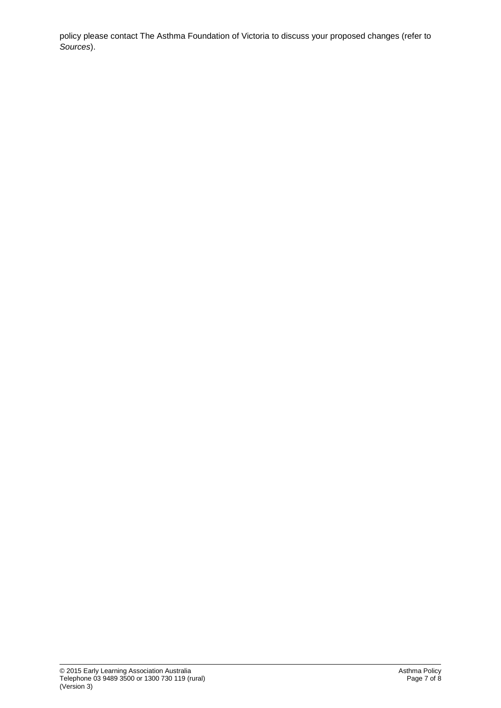policy please contact The Asthma Foundation of Victoria to discuss your proposed changes (refer to *Sources*).